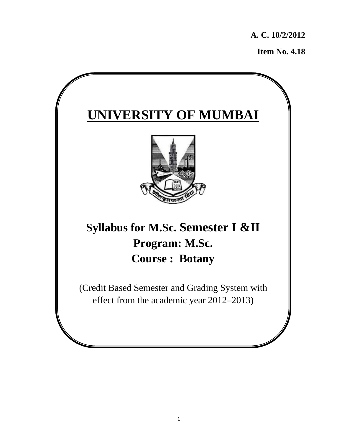**A. C. 10/2/2012** 

**Item No. 4.18** 

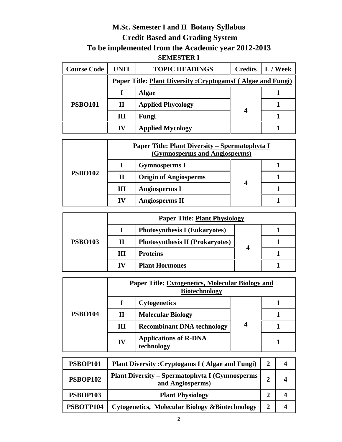### **M.Sc. Semester I and II Botany Syllabus Credit Based and Grading System To be implemented from the Academic year 2012-2013 SEMESTER I**

| <b>Course Code</b> | <b>UNIT</b>                                                        | <b>TOPIC HEADINGS</b>    |   | <b>Credits</b> $\ $ L / Week |  |
|--------------------|--------------------------------------------------------------------|--------------------------|---|------------------------------|--|
|                    | <b>Paper Title: Plant Diversity: CryptogamsI (Algae and Fungi)</b> |                          |   |                              |  |
|                    |                                                                    | <b>Algae</b>             |   |                              |  |
| <b>PSBO101</b>     | $\mathbf{I}$                                                       | <b>Applied Phycology</b> |   |                              |  |
|                    | Ш                                                                  | Fungi                    | 4 |                              |  |
|                    | IV                                                                 | <b>Applied Mycology</b>  |   |                              |  |

|                |    | Paper Title: Plant Diversity - Spermatophyta I<br>(Gymnosperms and Angiosperms) |  |
|----------------|----|---------------------------------------------------------------------------------|--|
| <b>PSBO102</b> |    | <b>Gymnosperms I</b>                                                            |  |
|                |    | <b>Origin of Angiosperms</b>                                                    |  |
|                | Ш  | <b>Angiosperms I</b>                                                            |  |
|                | 17 | <b>Angiosperms II</b>                                                           |  |

|                |    | <b>Paper Title: Plant Physiology</b>   |  |
|----------------|----|----------------------------------------|--|
| <b>PSBO103</b> |    | <b>Photosynthesis I (Eukaryotes)</b>   |  |
|                |    | <b>Photosynthesis II (Prokaryotes)</b> |  |
|                | ш  | <b>Proteins</b>                        |  |
|                | IV | <b>Plant Hormones</b>                  |  |

|                | Paper Title: Cytogenetics, Molecular Biology and<br><b>Biotechnology</b> |                                            |   |  |
|----------------|--------------------------------------------------------------------------|--------------------------------------------|---|--|
|                |                                                                          | <b>Cytogenetics</b>                        |   |  |
| <b>PSBO104</b> | П                                                                        | <b>Molecular Biology</b>                   |   |  |
|                | III                                                                      | <b>Recombinant DNA technology</b>          | 4 |  |
|                | IV                                                                       | <b>Applications of R-DNA</b><br>technology |   |  |

| PSBOP101        | <b>Plant Diversity: Cryptogams I (Algae and Fungi)</b>                    |   |  |
|-----------------|---------------------------------------------------------------------------|---|--|
| <b>PSBOP102</b> | <b>Plant Diversity - Spermatophyta I (Gymnosperms</b><br>and Angiosperms) | 2 |  |
| <b>PSBOP103</b> | <b>Plant Physiology</b>                                                   |   |  |
| PSBOTP104       | <b>Cytogenetics, Molecular Biology &amp;Biotechnology</b>                 |   |  |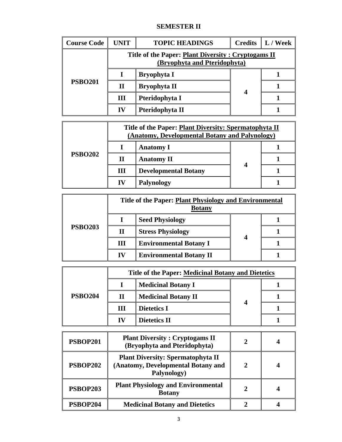### **SEMESTER II**

| <b>Course Code</b> | UNIT         | <b>TOPIC HEADINGS</b>                                                              | <b>Credits</b> | L / Week |
|--------------------|--------------|------------------------------------------------------------------------------------|----------------|----------|
| <b>PSBO201</b>     |              | Title of the Paper: Plant Diversity: Cryptogams II<br>(Bryophyta and Pteridophyta) |                |          |
|                    |              | <b>Bryophyta I</b>                                                                 |                |          |
|                    | $\mathbf{I}$ | <b>Bryophyta II</b>                                                                |                |          |
|                    | III          | Pteridophyta I                                                                     | 4              |          |
|                    | IV           | Pteridophyta II                                                                    |                |          |

| <b>PSBO202</b> |    | Title of the Paper: Plant Diversity: Spermatophyta II<br>(Anatomy, Developmental Botany and Palynology) |   |  |
|----------------|----|---------------------------------------------------------------------------------------------------------|---|--|
|                |    | <b>Anatomy I</b>                                                                                        |   |  |
|                | П  | <b>Anatomy II</b>                                                                                       | 4 |  |
|                | Ш  | <b>Developmental Botany</b>                                                                             |   |  |
|                | IV | <b>Palynology</b>                                                                                       |   |  |

|                |    | Title of the Paper: Plant Physiology and Environmental<br><b>Botany</b> |   |  |
|----------------|----|-------------------------------------------------------------------------|---|--|
| <b>PSBO203</b> |    | <b>Seed Physiology</b>                                                  |   |  |
|                | П  | <b>Stress Physiology</b>                                                |   |  |
|                | Ш  | <b>Environmental Botany I</b>                                           | 4 |  |
|                | IV | <b>Environmental Botany II</b>                                          |   |  |

|                |    | Title of the Paper: Medicinal Botany and Dietetics |  |  |
|----------------|----|----------------------------------------------------|--|--|
| <b>PSBO204</b> |    | <b>Medicinal Botany I</b>                          |  |  |
|                | П  | <b>Medicinal Botany II</b>                         |  |  |
|                | Ш  | <b>Dietetics I</b>                                 |  |  |
|                | IV | <b>Dietetics II</b>                                |  |  |

| <b>PSBOP201</b> | <b>Plant Diversity: Cryptogams II</b><br>(Bryophyta and Pteridophyta)                         |               |  |
|-----------------|-----------------------------------------------------------------------------------------------|---------------|--|
| <b>PSBOP202</b> | <b>Plant Diversity: Spermatophyta II</b><br>(Anatomy, Developmental Botany and<br>Palynology) | $\mathbf{2}$  |  |
| <b>PSBOP203</b> | <b>Plant Physiology and Environmental</b><br><b>Botany</b>                                    | $\mathcal{D}$ |  |
| PSBOP204        | <b>Medicinal Botany and Dietetics</b>                                                         |               |  |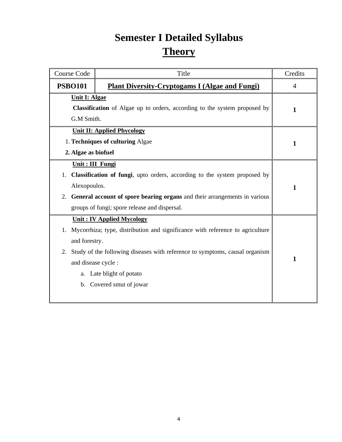# **Semester I Detailed Syllabus Theory**

| <b>Course Code</b>                           | Title                                                                                                                                                                                                                                                       | Credits        |
|----------------------------------------------|-------------------------------------------------------------------------------------------------------------------------------------------------------------------------------------------------------------------------------------------------------------|----------------|
| <b>PSBO101</b>                               | <b>Plant Diversity-Cryptogams I (Algae and Fungi)</b>                                                                                                                                                                                                       | $\overline{4}$ |
| <b>Unit I: Algae</b><br>G.M Smith.           | <b>Classification</b> of Algae up to orders, according to the system proposed by                                                                                                                                                                            | 1              |
| 2. Algae as biofuel                          | <b>Unit II: Applied Phycology</b><br>1. Techniques of culturing Algae                                                                                                                                                                                       | 1              |
| Unit : III Fungi<br>1.<br>Alexopoulos.<br>2. | Classification of fungi, upto orders, according to the system proposed by<br>General account of spore bearing organs and their arrangements in various<br>groups of fungi; spore release and dispersal.                                                     | 1              |
| and forestry.<br>2.<br>and disease cycle :   | <b>Unit: IV Applied Mycology</b><br>1. Mycorrhiza; type, distribution and significance with reference to agriculture<br>Study of the following diseases with reference to symptoms, causal organism<br>a. Late blight of potato<br>b. Covered smut of jowar | 1              |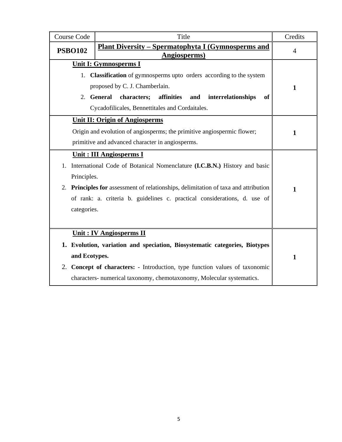| <b>Course Code</b> | Title                                                                               | Credits        |
|--------------------|-------------------------------------------------------------------------------------|----------------|
| <b>PSBO102</b>     | <u> Plant Diversity – Spermatophyta I (Gymnosperms and</u><br><b>Angiosperms</b> )  | $\overline{4}$ |
|                    | Unit I: Gymnosperms I                                                               |                |
|                    | 1. Classification of gymnosperms upto orders according to the system                |                |
|                    | proposed by C. J. Chamberlain.                                                      | $\mathbf{1}$   |
|                    | 2. General<br>characters;<br>affinities<br>interrelationships<br>and<br>of          |                |
|                    | Cycadofilicales, Bennettitales and Cordaitales.                                     |                |
|                    | <b>Unit II: Origin of Angiosperms</b>                                               |                |
|                    | Origin and evolution of angiosperms; the primitive angiospermic flower;             | $\mathbf{1}$   |
|                    | primitive and advanced character in angiosperms.                                    |                |
|                    | <b>Unit: III Angiosperms I</b>                                                      |                |
|                    | 1. International Code of Botanical Nomenclature (I.C.B.N.) History and basic        |                |
|                    |                                                                                     |                |
| Principles.        |                                                                                     |                |
|                    | 2. Principles for assessment of relationships, delimitation of taxa and attribution | $\mathbf{1}$   |
|                    | of rank: a. criteria b. guidelines c. practical considerations, d. use of           |                |
| categories.        |                                                                                     |                |
|                    |                                                                                     |                |
|                    | <b>Unit: IV Angiosperms II</b>                                                      |                |
|                    | 1. Evolution, variation and speciation, Biosystematic categories, Biotypes          |                |
| and Ecotypes.      |                                                                                     | $\mathbf{1}$   |
|                    | 2. Concept of characters: - Introduction, type function values of taxonomic         |                |
|                    | characters- numerical taxonomy, chemotaxonomy, Molecular systematics.               |                |
|                    |                                                                                     |                |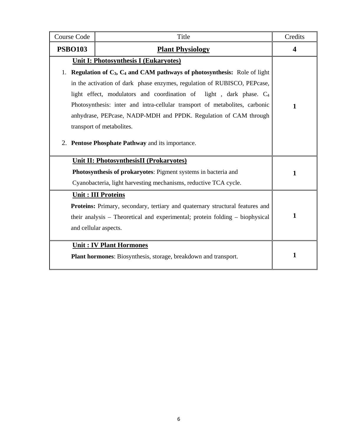| Course Code                                                                                       | Title                                                                          | Credits                 |
|---------------------------------------------------------------------------------------------------|--------------------------------------------------------------------------------|-------------------------|
| <b>PSBO103</b>                                                                                    | <b>Plant Physiology</b>                                                        | $\overline{\mathbf{4}}$ |
|                                                                                                   | <b>Unit I: Photosynthesis I (Eukaryotes)</b>                                   |                         |
| 1.                                                                                                | Regulation of $C_3$ , $C_4$ and CAM pathways of photosynthesis: Role of light  |                         |
|                                                                                                   | in the activation of dark phase enzymes, regulation of RUBISCO, PEPcase,       |                         |
|                                                                                                   | light effect, modulators and coordination of light, dark phase. C <sub>4</sub> |                         |
|                                                                                                   | Photosynthesis: inter and intra-cellular transport of metabolites, carbonic    | $\mathbf{1}$            |
|                                                                                                   | anhydrase, PEPcase, NADP-MDH and PPDK. Regulation of CAM through               |                         |
|                                                                                                   | transport of metabolites.                                                      |                         |
| 2. Pentose Phosphate Pathway and its importance.                                                  |                                                                                |                         |
|                                                                                                   | <b>Unit II: PhotosynthesisII (Prokaryotes)</b>                                 |                         |
|                                                                                                   | Photosynthesis of prokaryotes: Pigment systems in bacteria and                 | $\mathbf{1}$            |
|                                                                                                   | Cyanobacteria, light harvesting mechanisms, reductive TCA cycle.               |                         |
|                                                                                                   | <b>Unit: III Proteins</b>                                                      |                         |
|                                                                                                   | Proteins: Primary, secondary, tertiary and quaternary structural features and  |                         |
| their analysis - Theoretical and experimental; protein folding - biophysical                      |                                                                                | $\mathbf{1}$            |
| and cellular aspects.                                                                             |                                                                                |                         |
|                                                                                                   |                                                                                |                         |
| <b>Unit: IV Plant Hormones</b><br>Plant hormones: Biosynthesis, storage, breakdown and transport. |                                                                                | 1                       |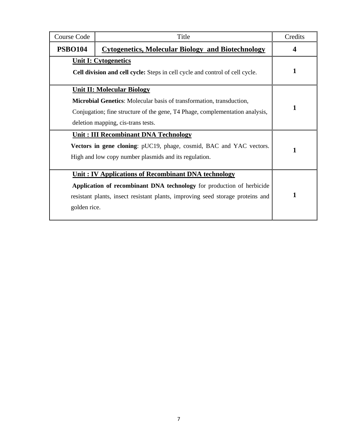| Course Code                                                                                                 | Title                                                                                                                                                                                                                                                                                 | Credits |
|-------------------------------------------------------------------------------------------------------------|---------------------------------------------------------------------------------------------------------------------------------------------------------------------------------------------------------------------------------------------------------------------------------------|---------|
| <b>PSBO104</b>                                                                                              | <b>Cytogenetics, Molecular Biology and Biotechnology</b>                                                                                                                                                                                                                              | 4       |
| <b>Unit I: Cytogenetics</b><br>Cell division and cell cycle: Steps in cell cycle and control of cell cycle. |                                                                                                                                                                                                                                                                                       | 1       |
|                                                                                                             | <b>Unit II: Molecular Biology</b><br><b>Microbial Genetics:</b> Molecular basis of transformation, transduction,<br>Conjugation; fine structure of the gene, T4 Phage, complementation analysis,<br>deletion mapping, cis-trans tests.<br><b>Unit: III Recombinant DNA Technology</b> | 1       |
|                                                                                                             | Vectors in gene cloning: pUC19, phage, cosmid, BAC and YAC vectors.<br>High and low copy number plasmids and its regulation.                                                                                                                                                          | 1       |
| golden rice.                                                                                                | Unit: IV Applications of Recombinant DNA technology<br>Application of recombinant DNA technology for production of herbicide<br>resistant plants, insect resistant plants, improving seed storage proteins and                                                                        | 1       |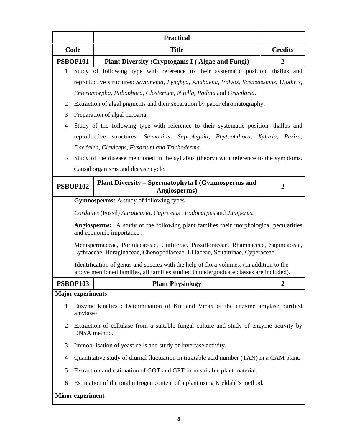|                         |                                                                                           | <b>Practical</b>                                                                                                                                                                  |                |
|-------------------------|-------------------------------------------------------------------------------------------|-----------------------------------------------------------------------------------------------------------------------------------------------------------------------------------|----------------|
| Code                    |                                                                                           | <b>Title</b>                                                                                                                                                                      | <b>Credits</b> |
|                         | <b>PSBOP101</b><br><b>Plant Diversity: Cryptogams I (Algae and Fungi)</b>                 |                                                                                                                                                                                   | $\overline{2}$ |
| 1                       |                                                                                           | Study of following type with reference to their systematic position, thallus and                                                                                                  |                |
|                         |                                                                                           | reproductive structures: Scytonema, Lyngbya, Anabaena, Volvox, Scenedesmus, Ulothrix,                                                                                             |                |
|                         |                                                                                           | Enteromorpha, Pithophora, Closterium, Nitella, Padina and Gracilaria.                                                                                                             |                |
| $\overline{2}$          |                                                                                           | Extraction of algal pigments and their separation by paper chromatography.                                                                                                        |                |
| 3                       |                                                                                           | Preparation of algal herbaria.                                                                                                                                                    |                |
| $\overline{4}$          |                                                                                           | Study of the following type with reference to their systematic position, thallus and                                                                                              |                |
|                         |                                                                                           | reproductive structures: Stemonitis, Saprolegnia, Phytophthora, Xylaria, Peziza,                                                                                                  |                |
|                         |                                                                                           | Daedalea, Claviceps, Fusarium and Trichoderma.                                                                                                                                    |                |
| 5                       |                                                                                           | Study of the disease mentioned in the syllabus (theory) with reference to the symptoms.                                                                                           |                |
|                         |                                                                                           | Causal organisms and disease cycle.                                                                                                                                               |                |
|                         | Plant Diversity – Spermatophyta I (Gymnosperms and<br><b>PSBOP102</b><br>Angiosperms)     |                                                                                                                                                                                   | $\mathbf 2$    |
|                         |                                                                                           | <b>Gymnosperms:</b> A study of following types                                                                                                                                    |                |
|                         |                                                                                           | Cordaites (Fossil) Auraucaria, Cupressus, Podocarpus and Juniperus.                                                                                                               |                |
|                         |                                                                                           | <b>Angiosperms:</b> A study of the following plant families their morphological pecularities<br>and economic importance :                                                         |                |
|                         |                                                                                           | Menispermaceae, Portulacaceae, Guttiferae, Passifloraceae, Rhamnaceae, Sapindaceae,<br>Lythraceae, Boraginaceae, Chenopodiaceae, Liliaceae, Scitaminae, Cyperaceae.               |                |
|                         |                                                                                           | Identification of genus and species with the help of flora volumes. (In addition to the<br>above mentioned families, all families studied in undergraduate classes are included). |                |
|                         | <b>PSBOP103</b>                                                                           | <b>Plant Physiology</b>                                                                                                                                                           | $\mathbf{2}$   |
|                         | <b>Major</b> experiments                                                                  |                                                                                                                                                                                   |                |
| $\mathbf{1}$            | amylase)                                                                                  | Enzyme kinetics: Determination of Km and Vmax of the enzyme amylase purified                                                                                                      |                |
| $\overline{2}$          | DNSA method.                                                                              | Extraction of cellulase from a suitable fungal culture and study of enzyme activity by                                                                                            |                |
| 3                       | Immobilisation of yeast cells and study of invertase activity.                            |                                                                                                                                                                                   |                |
| 4                       | Quantitative study of diurnal fluctuation in titratable acid number (TAN) in a CAM plant. |                                                                                                                                                                                   |                |
| 5                       | Extraction and estimation of GOT and GPT from suitable plant material.                    |                                                                                                                                                                                   |                |
| 6                       | Estimation of the total nitrogen content of a plant using Kjeldahl's method.              |                                                                                                                                                                                   |                |
| <b>Minor experiment</b> |                                                                                           |                                                                                                                                                                                   |                |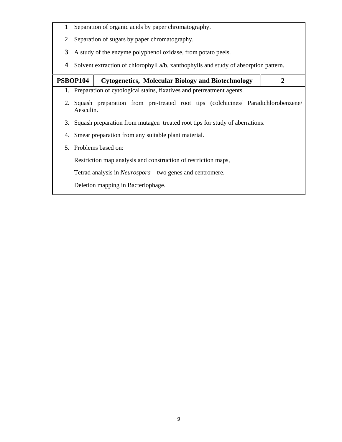- 1 Separation of organic acids by paper chromatography.
- 2 Separation of sugars by paper chromatography.
- **3** A study of the enzyme polyphenol oxidase, from potato peels.
- **4** Solvent extraction of chlorophyll a/b, xanthophylls and study of absorption pattern.

| PSBOP104 |                                                                                | <b>Cytogenetics, Molecular Biology and Biotechnology</b>                            | $\mathbf{2}$ |
|----------|--------------------------------------------------------------------------------|-------------------------------------------------------------------------------------|--------------|
|          |                                                                                | 1. Preparation of cytological stains, fixatives and pretreatment agents.            |              |
|          | Aesculin.                                                                      | 2. Squash preparation from pre-treated root tips (colchicines/ Paradichlorobenzene/ |              |
|          | 3. Squash preparation from mutagen treated root tips for study of aberrations. |                                                                                     |              |
|          |                                                                                | 4. Smear preparation from any suitable plant material.                              |              |
|          |                                                                                | 5. Problems based on:                                                               |              |
|          |                                                                                | Restriction map analysis and construction of restriction maps,                      |              |
|          |                                                                                | Tetrad analysis in <i>Neurospora</i> – two genes and centromere.                    |              |
|          |                                                                                | Deletion mapping in Bacteriophage.                                                  |              |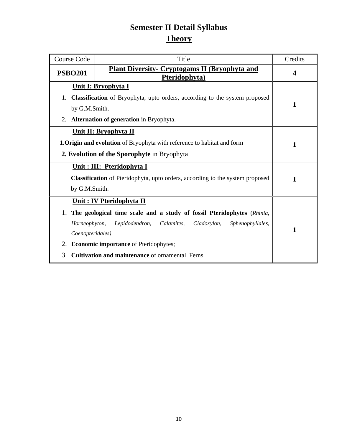### **Semester II Detail Syllabus Theory**

| Course Code                                                                          | Title                                                                         | Credits                 |
|--------------------------------------------------------------------------------------|-------------------------------------------------------------------------------|-------------------------|
| <b>PSBO201</b>                                                                       | <b>Plant Diversity- Cryptogams II (Bryophyta and</b><br>Pteridophyta)         | $\overline{\mathbf{4}}$ |
|                                                                                      | Unit I: Bryophyta I                                                           |                         |
| 1.                                                                                   | Classification of Bryophyta, upto orders, according to the system proposed    |                         |
| by G.M.Smith.                                                                        |                                                                               | 1                       |
| 2.                                                                                   | <b>Alternation of generation in Bryophyta.</b>                                |                         |
|                                                                                      | <b>Unit II: Bryophyta II</b>                                                  |                         |
|                                                                                      | <b>1.Origin and evolution</b> of Bryophyta with reference to habitat and form | $\mathbf{1}$            |
| 2. Evolution of the Sporophyte in Bryophyta                                          |                                                                               |                         |
| Unit: III: Pteridophyta I                                                            |                                                                               |                         |
| <b>Classification</b> of Pteridophyta, upto orders, according to the system proposed |                                                                               | 1                       |
| by G.M.Smith.                                                                        |                                                                               |                         |
| <b>Unit: IV Pteridophyta II</b>                                                      |                                                                               |                         |
| The geological time scale and a study of fossil Pteridophytes (Rhinia,               |                                                                               |                         |
| Horneophyton,                                                                        | Calamites,<br>Lepidodendron,<br>Cladoxylon,<br>Sphenophyllales,               |                         |
| Coenopteridales)                                                                     |                                                                               | $\mathbf{1}$            |
| 2. Economic importance of Pteridophytes;                                             |                                                                               |                         |
| Cultivation and maintenance of ornamental Ferns.<br>3.                               |                                                                               |                         |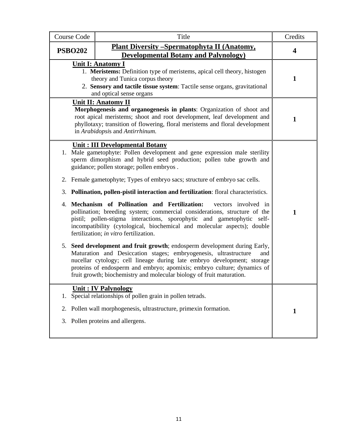| <b>Course Code</b> | Title                                                                                                                                                                                                                                                                                                                                                                               | Credits                 |  |
|--------------------|-------------------------------------------------------------------------------------------------------------------------------------------------------------------------------------------------------------------------------------------------------------------------------------------------------------------------------------------------------------------------------------|-------------------------|--|
| <b>PSBO202</b>     | <b>Plant Diversity - Spermatophyta II (Anatomy,</b>                                                                                                                                                                                                                                                                                                                                 | $\overline{\mathbf{4}}$ |  |
|                    | <b>Developmental Botany and Palynology</b> )                                                                                                                                                                                                                                                                                                                                        |                         |  |
|                    | <b>Unit I: Anatomy I</b><br>1. Meristems: Definition type of meristems, apical cell theory, histogen<br>theory and Tunica corpus theory<br>2. Sensory and tactile tissue system: Tactile sense organs, gravitational<br>and optical sense organs                                                                                                                                    |                         |  |
|                    | <b>Unit II: Anatomy II</b><br>Morphogenesis and organogenesis in plants: Organization of shoot and<br>root apical meristems; shoot and root development, leaf development and<br>phyllotaxy; transition of flowering, floral meristems and floral development<br>in Arabidopsis and Antirrhinum.                                                                                    | 1                       |  |
|                    | Unit: III Developmental Botany<br>1. Male gametophyte: Pollen development and gene expression male sterility<br>sperm dimorphism and hybrid seed production; pollen tube growth and<br>guidance; pollen storage; pollen embryos.                                                                                                                                                    |                         |  |
|                    | 2. Female gametophyte; Types of embryo sacs; structure of embryo sac cells.                                                                                                                                                                                                                                                                                                         |                         |  |
|                    | 3. Pollination, pollen-pistil interaction and fertilization: floral characteristics.                                                                                                                                                                                                                                                                                                |                         |  |
|                    | 4. Mechanism of Pollination and Fertilization:<br>vectors involved in<br>pollination; breeding system; commercial considerations, structure of the<br>pistil; pollen-stigma interactions, sporophytic and gametophytic self-<br>incompatibility (cytological, biochemical and molecular aspects); double<br>fertilization; in vitro fertilization.                                  | $\mathbf{1}$            |  |
|                    | 5. Seed development and fruit growth; endosperm development during Early,<br>Maturation and Desiccation stages; embryogenesis, ultrastructure<br>and<br>nucellar cytology; cell lineage during late embryo development; storage<br>proteins of endosperm and embryo; apomixis; embryo culture; dynamics of<br>fruit growth; biochemistry and molecular biology of fruit maturation. |                         |  |
| 1.                 | <b>Unit: IV Palynology</b><br>Special relationships of pollen grain in pollen tetrads.                                                                                                                                                                                                                                                                                              |                         |  |
| 2.                 | Pollen wall morphogenesis, ultrastructure, primexin formation.                                                                                                                                                                                                                                                                                                                      | $\mathbf{1}$            |  |
| 3.                 | Pollen proteins and allergens.                                                                                                                                                                                                                                                                                                                                                      |                         |  |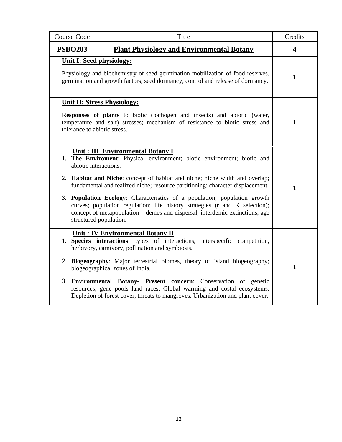| <b>Course Code</b>                                                                                                                                                                                                                    | Title                                                                                                                                                                                                                                                                                                                                                                                                                                                                                                                                                                        | Credits                 |
|---------------------------------------------------------------------------------------------------------------------------------------------------------------------------------------------------------------------------------------|------------------------------------------------------------------------------------------------------------------------------------------------------------------------------------------------------------------------------------------------------------------------------------------------------------------------------------------------------------------------------------------------------------------------------------------------------------------------------------------------------------------------------------------------------------------------------|-------------------------|
| <b>PSBO203</b>                                                                                                                                                                                                                        | <b>Plant Physiology and Environmental Botany</b>                                                                                                                                                                                                                                                                                                                                                                                                                                                                                                                             | $\overline{\mathbf{4}}$ |
| <b>Unit I: Seed physiology:</b><br>Physiology and biochemistry of seed germination mobilization of food reserves,<br>germination and growth factors, seed dormancy, control and release of dormancy.                                  |                                                                                                                                                                                                                                                                                                                                                                                                                                                                                                                                                                              | $\mathbf{1}$            |
| <b>Unit II: Stress Physiology:</b><br><b>Responses of plants</b> to biotic (pathogen and insects) and abiotic (water,<br>temperature and salt) stresses; mechanism of resistance to biotic stress and<br>tolerance to abiotic stress. |                                                                                                                                                                                                                                                                                                                                                                                                                                                                                                                                                                              | 1                       |
|                                                                                                                                                                                                                                       | Unit: III Environmental Botany I<br>1. The Enviroment: Physical environment; biotic environment; biotic and<br>abiotic interactions.<br>2. Habitat and Niche: concept of habitat and niche; niche width and overlap;<br>fundamental and realized niche; resource partitioning; character displacement.<br>3. Population Ecology: Characteristics of a population; population growth<br>curves; population regulation; life history strategies (r and K selection);<br>concept of metapopulation – demes and dispersal, interdemic extinctions, age<br>structured population. | $\mathbf{1}$            |
|                                                                                                                                                                                                                                       | <b>Unit: IV Environmental Botany II</b><br>1. Species interactions: types of interactions, interspecific competition,<br>herbivory, carnivory, pollination and symbiosis.<br>2. Biogeography: Major terrestrial biomes, theory of island biogeography;<br>biogeographical zones of India.<br>3. Environmental Botany- Present concern: Conservation of genetic<br>resources, gene pools land races, Global warming and costal ecosystems.<br>Depletion of forest cover, threats to mangroves. Urbanization and plant cover.                                                  | $\mathbf{1}$            |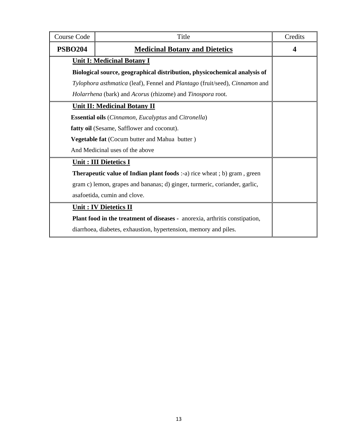| <b>Course Code</b>                                                                 | Title                                                                           | Credits          |
|------------------------------------------------------------------------------------|---------------------------------------------------------------------------------|------------------|
| <b>PSBO204</b>                                                                     | <b>Medicinal Botany and Dietetics</b>                                           | $\boldsymbol{4}$ |
|                                                                                    | <b>Unit I: Medicinal Botany I</b>                                               |                  |
|                                                                                    | Biological source, geographical distribution, physicochemical analysis of       |                  |
|                                                                                    | Tylophora asthmatica (leaf), Fennel and Plantago (fruit/seed), Cinnamon and     |                  |
|                                                                                    | Holarrhena (bark) and Acorus (rhizome) and Tinospora root.                      |                  |
|                                                                                    | <b>Unit II: Medicinal Botany II</b>                                             |                  |
|                                                                                    | <b>Essential oils</b> ( <i>Cinnamon, Eucalyptus</i> and <i>Citronella</i> )     |                  |
| fatty oil (Sesame, Safflower and coconut).                                         |                                                                                 |                  |
| <b>Vegetable fat</b> (Cocum butter and Mahua butter)                               |                                                                                 |                  |
| And Medicinal uses of the above                                                    |                                                                                 |                  |
|                                                                                    | <b>Unit: III Dietetics I</b>                                                    |                  |
|                                                                                    | <b>Therapeutic value of Indian plant foods</b> :-a) rice wheat ; b) gram, green |                  |
|                                                                                    | gram c) lemon, grapes and bananas; d) ginger, turmeric, coriander, garlic,      |                  |
|                                                                                    | asafoetida, cumin and clove.                                                    |                  |
|                                                                                    | <b>Unit: IV Dietetics II</b>                                                    |                  |
| <b>Plant food in the treatment of diseases - anorexia, arthritis constipation,</b> |                                                                                 |                  |
|                                                                                    | diarrhoea, diabetes, exhaustion, hypertension, memory and piles.                |                  |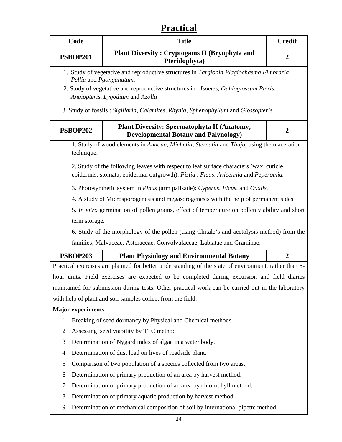## **Practical**

|                | Code                                                                                                               | <b>Title</b>                                                                                                                                                                 | <b>Credit</b>    |
|----------------|--------------------------------------------------------------------------------------------------------------------|------------------------------------------------------------------------------------------------------------------------------------------------------------------------------|------------------|
|                | <b>PSBOP201</b>                                                                                                    | <b>Plant Diversity: Cryptogams II (Bryophyta and</b><br>Pteridophyta)                                                                                                        | $\boldsymbol{2}$ |
|                | 1. Study of vegetative and reproductive structures in Targionia Plagiochasma Fimbraria,<br>Pellia and Pgonganatum. |                                                                                                                                                                              |                  |
|                |                                                                                                                    | 2. Study of vegetative and reproductive structures in : Isoetes, Ophioglossum Pteris,<br>Angiopteris, Lygodium and Azolla                                                    |                  |
|                |                                                                                                                    | 3. Study of fossils: Sigillaria, Calamites, Rhynia, Sphenophyllum and Glossopteris.                                                                                          |                  |
|                | <b>PSBOP202</b>                                                                                                    | <b>Plant Diversity: Spermatophyta II (Anatomy,</b><br><b>Developmental Botany and Palynology)</b>                                                                            | $\boldsymbol{2}$ |
|                | technique.                                                                                                         | 1. Study of wood elements in Annona, Michelia, Sterculia and Thuja, using the maceration                                                                                     |                  |
|                |                                                                                                                    | 2. Study of the following leaves with respect to leaf surface characters (wax, cuticle,<br>epidermis, stomata, epidermal outgrowth): Pistia, Ficus, Avicennia and Peperomia. |                  |
|                |                                                                                                                    | 3. Photosynthetic system in Pinus (arm palisade): Cyperus, Ficus, and Oxalis.                                                                                                |                  |
|                |                                                                                                                    | 4. A study of Microsporogenesis and megasorogenesis with the help of permanent sides                                                                                         |                  |
|                |                                                                                                                    | 5. In vitro germination of pollen grains, effect of temperature on pollen viability and short                                                                                |                  |
|                | term storage.                                                                                                      |                                                                                                                                                                              |                  |
|                |                                                                                                                    | 6. Study of the morphology of the pollen (using Chitale's and acetolysis method) from the                                                                                    |                  |
|                |                                                                                                                    | families; Malvaceae, Asteraceae, Convolvulaceae, Labiatae and Graminae.                                                                                                      |                  |
|                | <b>PSBOP203</b>                                                                                                    | <b>Plant Physiology and Environmental Botany</b>                                                                                                                             | $\boldsymbol{2}$ |
|                |                                                                                                                    | Practical exercises are planned for better understanding of the state of environment, rather than 5-                                                                         |                  |
|                |                                                                                                                    | hour units. Field exercises are expected to be completed during excursion and field diaries                                                                                  |                  |
|                |                                                                                                                    | maintained for submission during tests. Other practical work can be carried out in the laboratory                                                                            |                  |
|                |                                                                                                                    | with help of plant and soil samples collect from the field.                                                                                                                  |                  |
|                | <b>Major experiments</b>                                                                                           |                                                                                                                                                                              |                  |
| $\mathbf{1}$   |                                                                                                                    | Breaking of seed dormancy by Physical and Chemical methods                                                                                                                   |                  |
| $\overline{2}$ |                                                                                                                    | Assessing seed viability by TTC method                                                                                                                                       |                  |
| 3              |                                                                                                                    | Determination of Nygard index of algae in a water body.                                                                                                                      |                  |
| 4              |                                                                                                                    | Determination of dust load on lives of roadside plant.                                                                                                                       |                  |
| 5              |                                                                                                                    | Comparison of two population of a species collected from two areas.                                                                                                          |                  |
| 6              |                                                                                                                    | Determination of primary production of an area by harvest method.                                                                                                            |                  |
| 7              |                                                                                                                    | Determination of primary production of an area by chlorophyll method.                                                                                                        |                  |
| 8              |                                                                                                                    | Determination of primary aquatic production by harvest method.                                                                                                               |                  |
| 9              |                                                                                                                    | Determination of mechanical composition of soil by international pipette method.                                                                                             |                  |